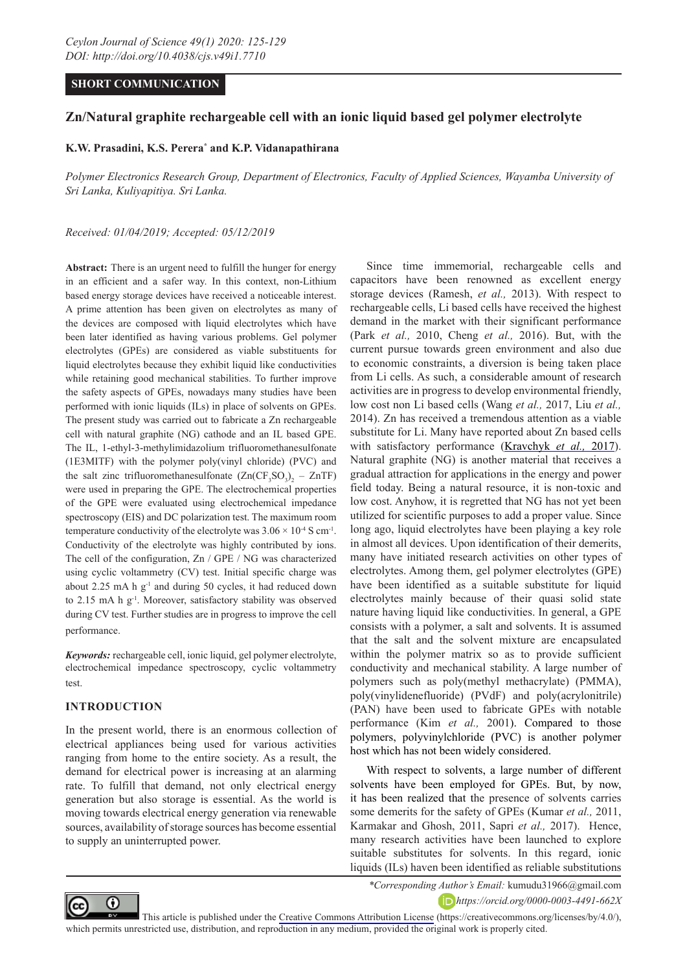# **SHORT COMMUNICATION**

# **Zn/Natural graphite rechargeable cell with an ionic liquid based gel polymer electrolyte**

# **K.W. Prasadini, K.S. Perera\* and K.P. Vidanapathirana**

*Polymer Electronics Research Group, Department of Electronics, Faculty of Applied Sciences, Wayamba University of Sri Lanka, Kuliyapitiya. Sri Lanka.* 

#### *Received: 01/04/2019; Accepted: 05/12/2019*

**Abstract:** There is an urgent need to fulfill the hunger for energy in an efficient and a safer way. In this context, non-Lithium based energy storage devices have received a noticeable interest. A prime attention has been given on electrolytes as many of the devices are composed with liquid electrolytes which have been later identified as having various problems. Gel polymer electrolytes (GPEs) are considered as viable substituents for liquid electrolytes because they exhibit liquid like conductivities while retaining good mechanical stabilities. To further improve the safety aspects of GPEs, nowadays many studies have been performed with ionic liquids (ILs) in place of solvents on GPEs. The present study was carried out to fabricate a Zn rechargeable cell with natural graphite (NG) cathode and an IL based GPE. The IL, 1-ethyl-3-methylimidazolium trifluoromethanesulfonate (1E3MITF) with the polymer poly(vinyl chloride) (PVC) and the salt zinc trifluoromethanesulfonate  $(Zn(CF_3SO_3)_2 - ZnTF)$ were used in preparing the GPE. The electrochemical properties of the GPE were evaluated using electrochemical impedance spectroscopy (EIS) and DC polarization test. The maximum room temperature conductivity of the electrolyte was  $3.06 \times 10^{-4}$  S cm<sup>-1</sup>. Conductivity of the electrolyte was highly contributed by ions. The cell of the configuration, Zn / GPE / NG was characterized using cyclic voltammetry (CV) test. Initial specific charge was about 2.25 mA h  $g^{-1}$  and during 50 cycles, it had reduced down to 2.15 mA h g<sup>-1</sup>. Moreover, satisfactory stability was observed during CV test. Further studies are in progress to improve the cell performance.

*Keywords:* rechargeable cell, ionic liquid, gel polymer electrolyte, electrochemical impedance spectroscopy, cyclic voltammetry test.

## **INTRODUCTION**

In the present world, there is an enormous collection of electrical appliances being used for various activities ranging from home to the entire society. As a result, the demand for electrical power is increasing at an alarming rate. To fulfill that demand, not only electrical energy generation but also storage is essential. As the world is moving towards electrical energy generation via renewable sources, availability of storage sources has become essential to supply an uninterrupted power.

Since time immemorial, rechargeable cells and capacitors have been renowned as excellent energy storage devices (Ramesh, *et al.,* 2013). With respect to rechargeable cells, Li based cells have received the highest demand in the market with their significant performance (Park *et al.,* 2010, Cheng *et al.,* 2016). But, with the current pursue towards green environment and also due to economic constraints, a diversion is being taken place from Li cells. As such, a considerable amount of research activities are in progress to develop environmental friendly, low cost non Li based cells (Wang *et al.,* 2017, Liu *et al.,* 2014). Zn has received a tremendous attention as a viable substitute for Li. Many have reported about Zn based cells with satisfactory performance (Kravchyk *et al.,* 2017). Natural graphite (NG) is another material that receives a gradual attraction for applications in the energy and power field today. Being a natural resource, it is non-toxic and low cost. Anyhow, it is regretted that NG has not yet been utilized for scientific purposes to add a proper value. Since long ago, liquid electrolytes have been playing a key role in almost all devices. Upon identification of their demerits, many have initiated research activities on other types of electrolytes. Among them, gel polymer electrolytes (GPE) have been identified as a suitable substitute for liquid electrolytes mainly because of their quasi solid state nature having liquid like conductivities. In general, a GPE consists with a polymer, a salt and solvents. It is assumed that the salt and the solvent mixture are encapsulated within the polymer matrix so as to provide sufficient conductivity and mechanical stability. A large number of polymers such as poly(methyl methacrylate) (PMMA), poly(vinylidenefluoride) (PVdF) and poly(acrylonitrile) (PAN) have been used to fabricate GPEs with notable performance (Kim *et al.,* 2001). Compared to those polymers, polyvinylchloride (PVC) is another polymer host which has not been widely considered.

With respect to solvents, a large number of different solvents have been employed for GPEs. But, by now, it has been realized that the presence of solvents carries some demerits for the safety of GPEs (Kumar *et al.,* 2011, Karmakar and Ghosh, 2011, Sapri *et al.,* 2017). Hence, many research activities have been launched to explore suitable substitutes for solvents. In this regard, ionic liquids (ILs) haven been identified as reliable substitutions



*\*Corresponding Author's Email:* kumudu31966@gmail.com *https://orcid.org/0000-0003-4491-662X*

This article is published under the [Creative Commons Attribution License](https://creativecommons.org/licenses/by/4.0/) (https://creativecommons.org/licenses/by/4.0/), which permits unrestricted use, distribution, and reproduction in any medium, provided the original work is properly cited.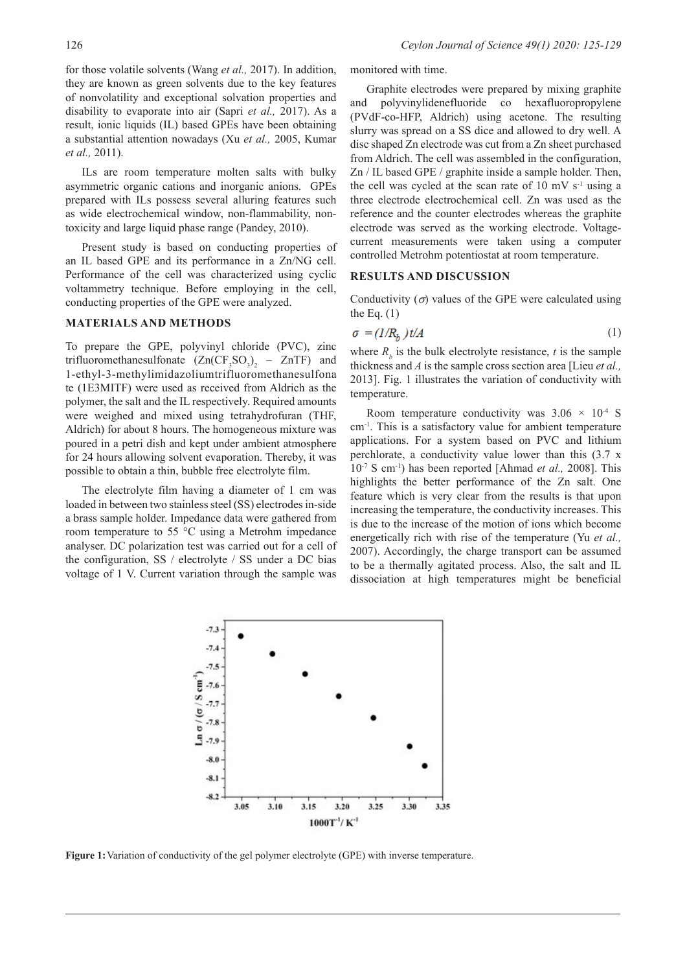for those volatile solvents (Wang *et al.,* 2017). In addition, they are known as green solvents due to the key features of nonvolatility and exceptional solvation properties and disability to evaporate into air (Sapri *et al.,* 2017). As a result, ionic liquids (IL) based GPEs have been obtaining a substantial attention nowadays (Xu *et al.,* 2005, Kumar *et al.,* 2011).

ILs are room temperature molten salts with bulky asymmetric organic cations and inorganic anions. GPEs prepared with ILs possess several alluring features such as wide electrochemical window, non-flammability, nontoxicity and large liquid phase range (Pandey, 2010).

Present study is based on conducting properties of an IL based GPE and its performance in a Zn/NG cell. Performance of the cell was characterized using cyclic voltammetry technique. Before employing in the cell, conducting properties of the GPE were analyzed.

## **MATERIALS AND METHODS**

To prepare the GPE, polyvinyl chloride (PVC), zinc trifluoromethanesulfonate  $(Zn(CF_3SO_3)_2 - ZnTF)$  and 1-ethyl-3-methylimidazoliumtrifluoromethanesulfona te (1E3MITF) were used as received from Aldrich as the polymer, the salt and the IL respectively. Required amounts were weighed and mixed using tetrahydrofuran (THF, Aldrich) for about 8 hours. The homogeneous mixture was poured in a petri dish and kept under ambient atmosphere for 24 hours allowing solvent evaporation. Thereby, it was possible to obtain a thin, bubble free electrolyte film.

The electrolyte film having a diameter of 1 cm was loaded in between two stainless steel (SS) electrodes in-side a brass sample holder. Impedance data were gathered from room temperature to 55 °C using a Metrohm impedance analyser. DC polarization test was carried out for a cell of the configuration, SS / electrolyte / SS under a DC bias voltage of 1 V. Current variation through the sample was monitored with time.

Graphite electrodes were prepared by mixing graphite and polyvinylidenefluoride co hexafluoropropylene (PVdF-co-HFP, Aldrich) using acetone. The resulting slurry was spread on a SS dice and allowed to dry well. A disc shaped Zn electrode was cut from a Zn sheet purchased from Aldrich. The cell was assembled in the configuration, Zn / IL based GPE / graphite inside a sample holder. Then, the cell was cycled at the scan rate of  $10 \text{ mV s}^{-1}$  using a three electrode electrochemical cell. Zn was used as the reference and the counter electrodes whereas the graphite electrode was served as the working electrode. Voltagecurrent measurements were taken using a computer controlled Metrohm potentiostat at room temperature.

# **RESULTS AND DISCUSSION**

Conductivity  $(\sigma)$  values of the GPE were calculated using the Eq.  $(1)$ 

$$
\sigma = (1/R_h) t/A \tag{1}
$$

where  $R_b$  is the bulk electrolyte resistance, *t* is the sample thickness and *A* is the sample cross section area [Lieu *et al.,* 2013]. Fig. 1 illustrates the variation of conductivity with temperature.

Room temperature conductivity was  $3.06 \times 10^{-4}$  S cm-1. This is a satisfactory value for ambient temperature applications. For a system based on PVC and lithium perchlorate, a conductivity value lower than this (3.7 x 10-7 S cm-1) has been reported [Ahmad *et al.,* 2008]. This highlights the better performance of the Zn salt. One feature which is very clear from the results is that upon increasing the temperature, the conductivity increases. This is due to the increase of the motion of ions which become energetically rich with rise of the temperature (Yu *et al.,* 2007). Accordingly, the charge transport can be assumed to be a thermally agitated process. Also, the salt and IL dissociation at high temperatures might be beneficial



**Figure 1:**Variation of conductivity of the gel polymer electrolyte (GPE) with inverse temperature.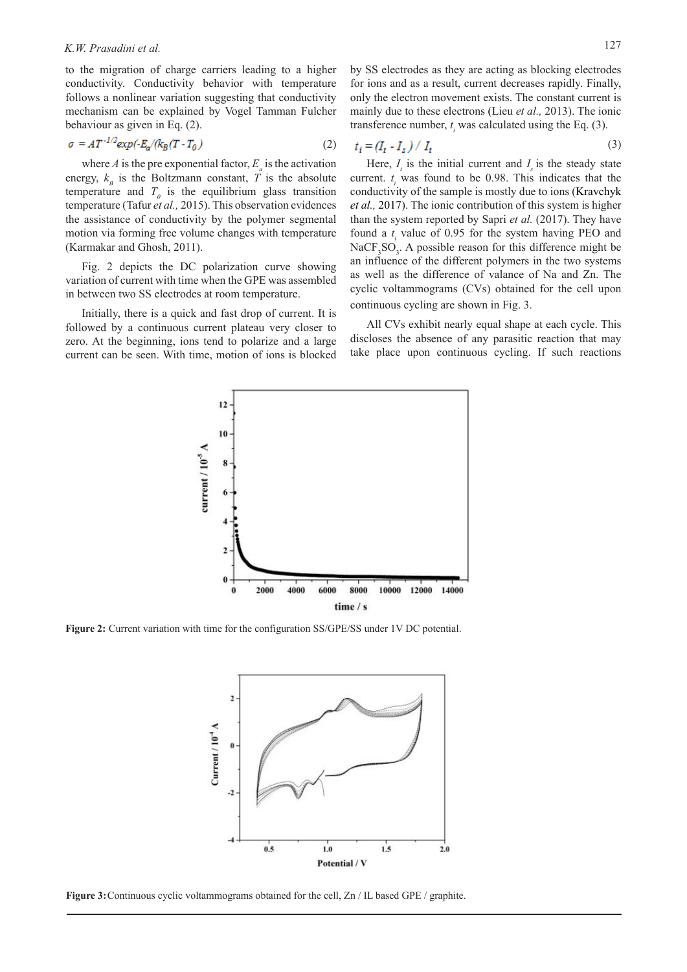to the migration of charge carriers leading to a higher conductivity. Conductivity behavior with temperature follows a nonlinear variation suggesting that conductivity mechanism can be explained by Vogel Tamman Fulcher behaviour as given in Eq. (2).

$$
\sigma = AT^{-1/2} \exp(-E_{\alpha}/k_B(T - T_0))
$$
\n(2)

where  $A$  is the pre exponential factor,  $E_a$  is the activation energy,  $k_B$  is the Boltzmann constant, *T* is the absolute temperature and  $T_0$  is the equilibrium glass transition temperature (Tafur *et al.,* 2015). This observation evidences the assistance of conductivity by the polymer segmental motion via forming free volume changes with temperature (Karmakar and Ghosh, 2011).

Fig. 2 depicts the DC polarization curve showing variation of current with time when the GPE was assembled in between two SS electrodes at room temperature.

Initially, there is a quick and fast drop of current. It is followed by a continuous current plateau very closer to zero. At the beginning, ions tend to polarize and a large current can be seen. With time, motion of ions is blocked by SS electrodes as they are acting as blocking electrodes for ions and as a result, current decreases rapidly. Finally, only the electron movement exists. The constant current is mainly due to these electrons (Lieu *et al.,* 2013). The ionic transference number,  $t_i$  was calculated using the Eq. (3).

$$
t_i = (I_t - I_s) / I_t \tag{3}
$$

Here,  $I_t$  is the initial current and  $I_s$  is the steady state current.  $t_i$  was found to be 0.98. This indicates that the conductivity of the sample is mostly due to ions (Kravchyk *et al.,* 2017). The ionic contribution of this system is higher than the system reported by Sapri *et al.* (2017). They have found a  $t_i$  value of 0.95 for the system having PEO and  $NaCF<sub>3</sub>SO<sub>3</sub>$ . A possible reason for this difference might be an influence of the different polymers in the two systems as well as the difference of valance of Na and Zn. The cyclic voltammograms (CVs) obtained for the cell upon continuous cycling are shown in Fig. 3.

All CVs exhibit nearly equal shape at each cycle. This discloses the absence of any parasitic reaction that may take place upon continuous cycling. If such reactions



**Figure 2:** Current variation with time for the configuration SS/GPE/SS under 1V DC potential.



**Figure 3:** Continuous cyclic voltammograms obtained for the cell, Zn / IL based GPE / graphite.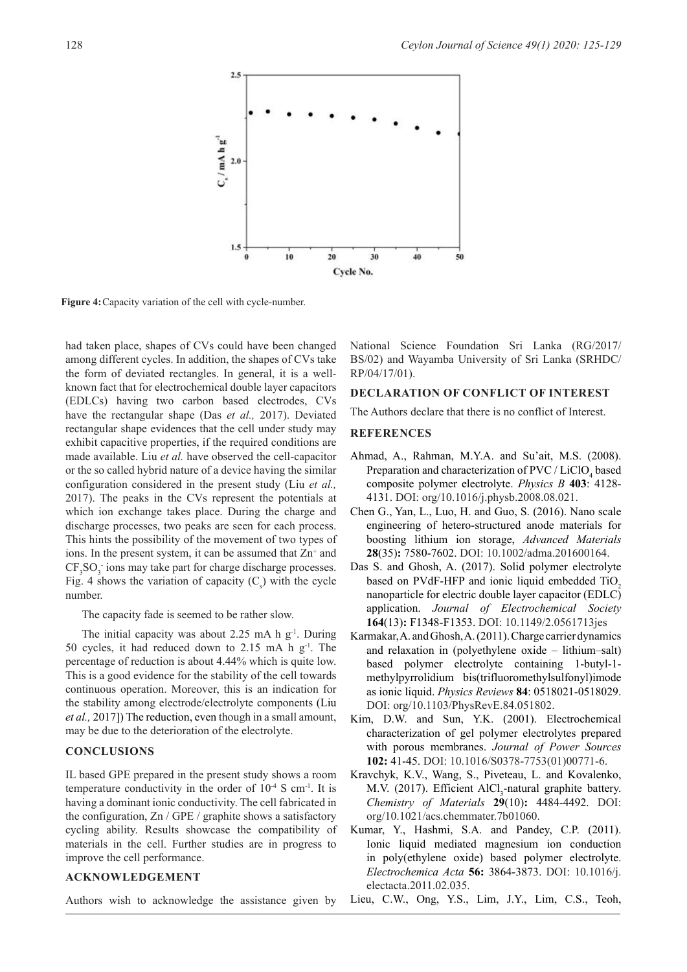

**Figure 4:**Capacity variation of the cell with cycle-number.

had taken place, shapes of CVs could have been changed among different cycles. In addition, the shapes of CVs take the form of deviated rectangles. In general, it is a wellknown fact that for electrochemical double layer capacitors (EDLCs) having two carbon based electrodes, CVs have the rectangular shape (Das *et al.,* 2017). Deviated rectangular shape evidences that the cell under study may exhibit capacitive properties, if the required conditions are made available. Liu *et al.* have observed the cell-capacitor or the so called hybrid nature of a device having the similar configuration considered in the present study (Liu *et al.,* 2017). The peaks in the CVs represent the potentials at which ion exchange takes place. During the charge and discharge processes, two peaks are seen for each process. This hints the possibility of the movement of two types of ions. In the present system, it can be assumed that  $Zn^+$  and  $CF<sub>3</sub>SO<sub>3</sub>$  ions may take part for charge discharge processes. Fig. 4 shows the variation of capacity  $(C_s)$  with the cycle number.

The capacity fade is seemed to be rather slow.

The initial capacity was about 2.25 mA h  $g^{-1}$ . During 50 cycles, it had reduced down to 2.15 mA h  $g^{-1}$ . The percentage of reduction is about 4.44% which is quite low. This is a good evidence for the stability of the cell towards continuous operation. Moreover, this is an indication for the stability among electrode/electrolyte components (Liu *et al.,* 2017]) The reduction, even though in a small amount, may be due to the deterioration of the electrolyte.

# **CONCLUSIONS**

IL based GPE prepared in the present study shows a room temperature conductivity in the order of  $10^{-4}$  S cm<sup>-1</sup>. It is having a dominant ionic conductivity. The cell fabricated in the configuration, Zn / GPE / graphite shows a satisfactory cycling ability. Results showcase the compatibility of materials in the cell. Further studies are in progress to improve the cell performance.

## **ACKNOWLEDGEMENT**

National Science Foundation Sri Lanka (RG/2017/ BS/02) and Wayamba University of Sri Lanka (SRHDC/ RP/04/17/01).

#### **DECLARATION OF CONFLICT OF INTEREST**

The Authors declare that there is no conflict of Interest.

#### **REFERENCES**

- Ahmad, A., Rahman, M.Y.A. and Su'ait, M.S. (2008). Preparation and characterization of PVC /  $LiClO<sub>4</sub>$  based composite polymer electrolyte. *Physics B* **403**: 4128- 4131. DOI: org/10.1016/j.physb.2008.08.021.
- Chen G., Yan, L., Luo, H. and Guo, S. (2016). Nano scale engineering of hetero-structured anode materials for boosting lithium ion storage, *Advanced Materials* **28**(35)**:** 7580-7602. DOI: 10.1002/adma.201600164.
- Das S. and Ghosh, A. (2017). Solid polymer electrolyte based on PVdF-HFP and ionic liquid embedded  $TiO<sub>2</sub>$ nanoparticle for electric double layer capacitor (EDLC) application. *Journal of Electrochemical Society* **164**(13)**:** F1348-F1353. DOI: 10.1149/2.0561713jes
- Karmakar, A. and Ghosh, A. (2011). Charge carrier dynamics and relaxation in (polyethylene oxide – lithium–salt) based polymer electrolyte containing 1-butyl-1 methylpyrrolidium bis(trifluoromethylsulfonyl)imode as ionic liquid. *Physics Reviews* **84**: 0518021-0518029. DOI: org/10.1103/PhysRevE.84.051802.
- Kim, D.W. and Sun, Y.K. (2001). Electrochemical characterization of gel polymer electrolytes prepared with porous membranes. *Journal of Power Sources* **102:** 41-45. DOI: 10.1016/S0378-7753(01)00771-6.
- Kravchyk, K.V., Wang, S., Piveteau, L. and Kovalenko, M.V. (2017). Efficient  $AICI_3$ -natural graphite battery. *Chemistry of Materials* **29**(10)**:** 4484-4492. DOI: org/10.1021/acs.chemmater.7b01060.
- Kumar, Y., Hashmi, S.A. and Pandey, C.P. (2011). Ionic liquid mediated magnesium ion conduction in poly(ethylene oxide) based polymer electrolyte. *Electrochemica Acta* **56:** 3864-3873. DOI: 10.1016/j. electacta.2011.02.035.

Authors wish to acknowledge the assistance given by Lieu, C.W., Ong, Y.S., Lim, J.Y., Lim, C.S., Teoh,